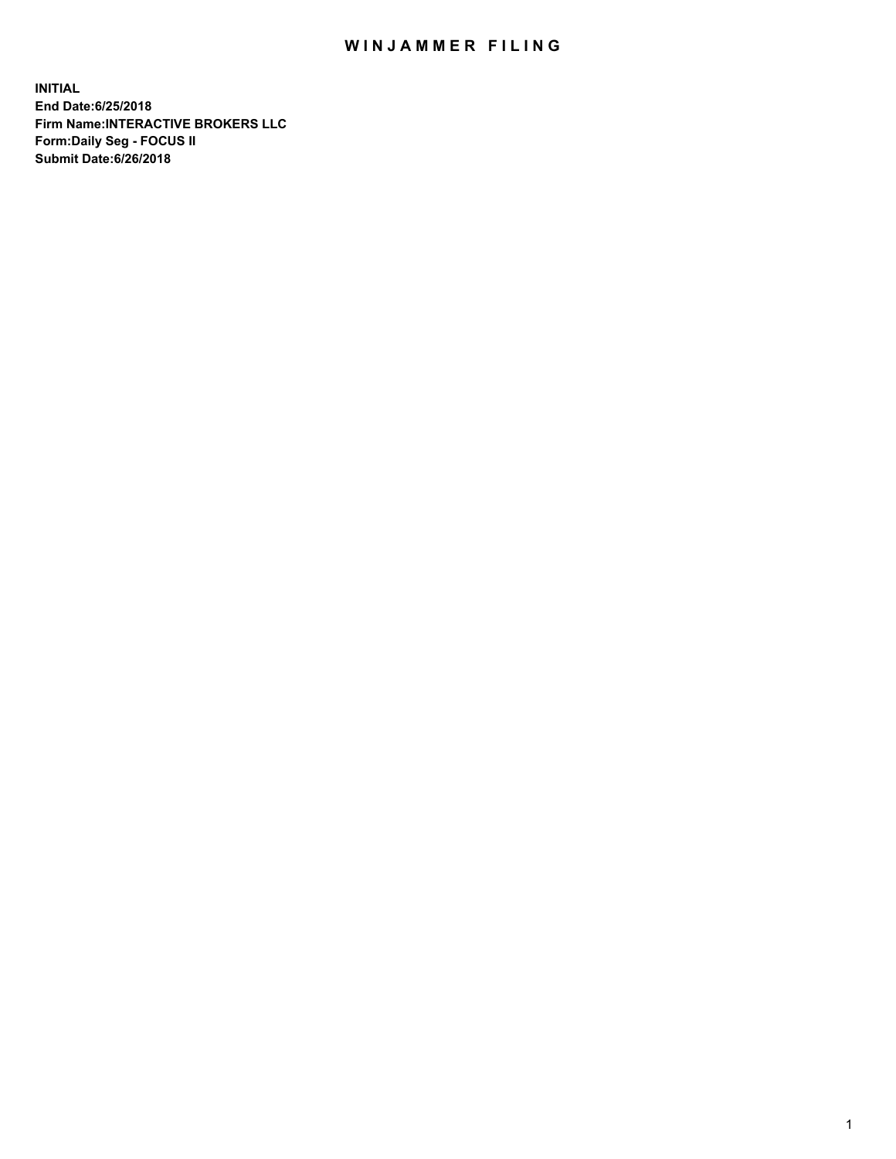## WIN JAMMER FILING

**INITIAL End Date:6/25/2018 Firm Name:INTERACTIVE BROKERS LLC Form:Daily Seg - FOCUS II Submit Date:6/26/2018**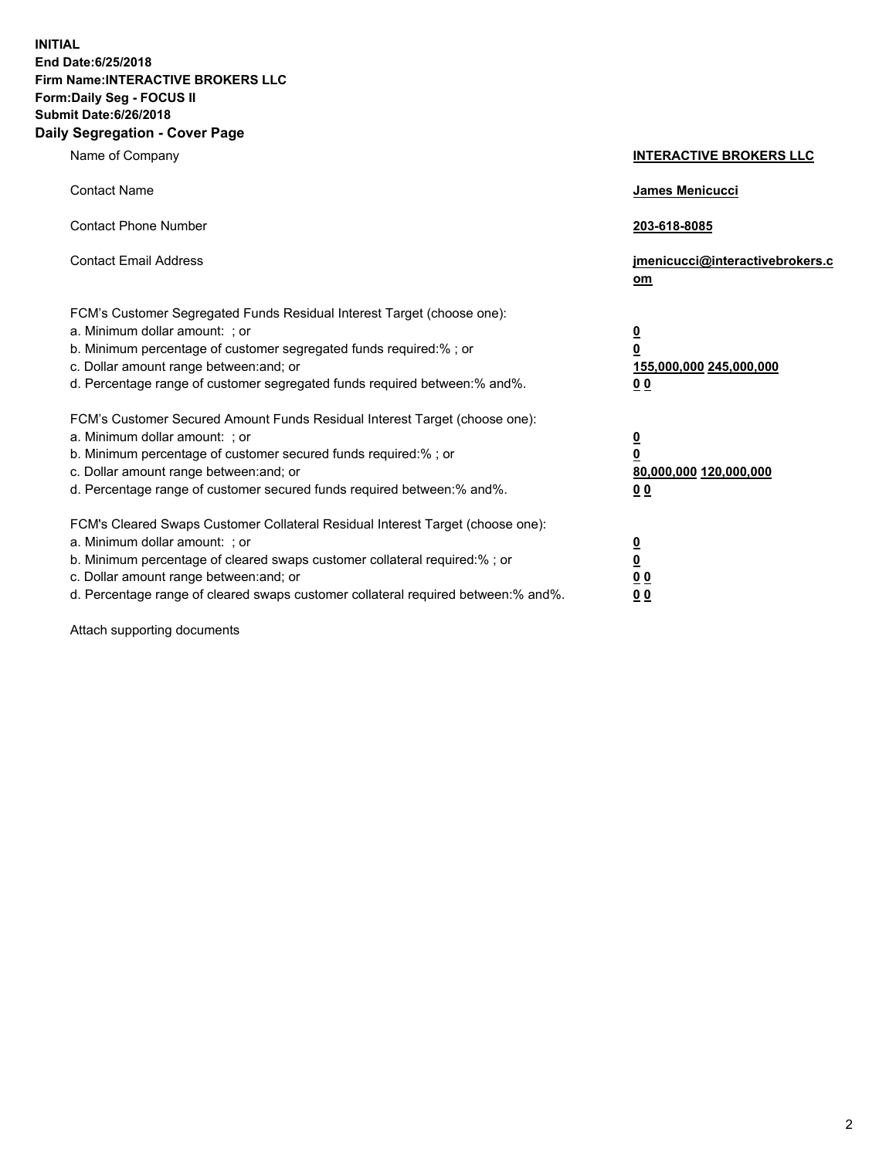**INITIAL End Date:6/25/2018 Firm Name:INTERACTIVE BROKERS LLC Form:Daily Seg - FOCUS II Submit Date:6/26/2018 Daily Segregation - Cover Page**

| Name of Company                                                                                                                                                                                                                                                                                                                | <b>INTERACTIVE BROKERS LLC</b>                                                   |
|--------------------------------------------------------------------------------------------------------------------------------------------------------------------------------------------------------------------------------------------------------------------------------------------------------------------------------|----------------------------------------------------------------------------------|
| <b>Contact Name</b>                                                                                                                                                                                                                                                                                                            | James Menicucci                                                                  |
| <b>Contact Phone Number</b>                                                                                                                                                                                                                                                                                                    | 203-618-8085                                                                     |
| <b>Contact Email Address</b>                                                                                                                                                                                                                                                                                                   | jmenicucci@interactivebrokers.c<br>om                                            |
| FCM's Customer Segregated Funds Residual Interest Target (choose one):<br>a. Minimum dollar amount: ; or<br>b. Minimum percentage of customer segregated funds required:% ; or<br>c. Dollar amount range between: and; or<br>d. Percentage range of customer segregated funds required between:% and%.                         | <u>0</u><br>$\overline{\mathbf{0}}$<br>155,000,000 245,000,000<br>0 <sub>0</sub> |
| FCM's Customer Secured Amount Funds Residual Interest Target (choose one):<br>a. Minimum dollar amount: ; or<br>b. Minimum percentage of customer secured funds required:% ; or<br>c. Dollar amount range between: and; or<br>d. Percentage range of customer secured funds required between:% and%.                           | <u>0</u><br>$\overline{\mathbf{0}}$<br>80,000,000 120,000,000<br>0 <sub>0</sub>  |
| FCM's Cleared Swaps Customer Collateral Residual Interest Target (choose one):<br>a. Minimum dollar amount: ; or<br>b. Minimum percentage of cleared swaps customer collateral required:% ; or<br>c. Dollar amount range between: and; or<br>d. Percentage range of cleared swaps customer collateral required between:% and%. | <u>0</u><br>$\underline{\mathbf{0}}$<br>0 <sub>0</sub><br>0 <sub>0</sub>         |

Attach supporting documents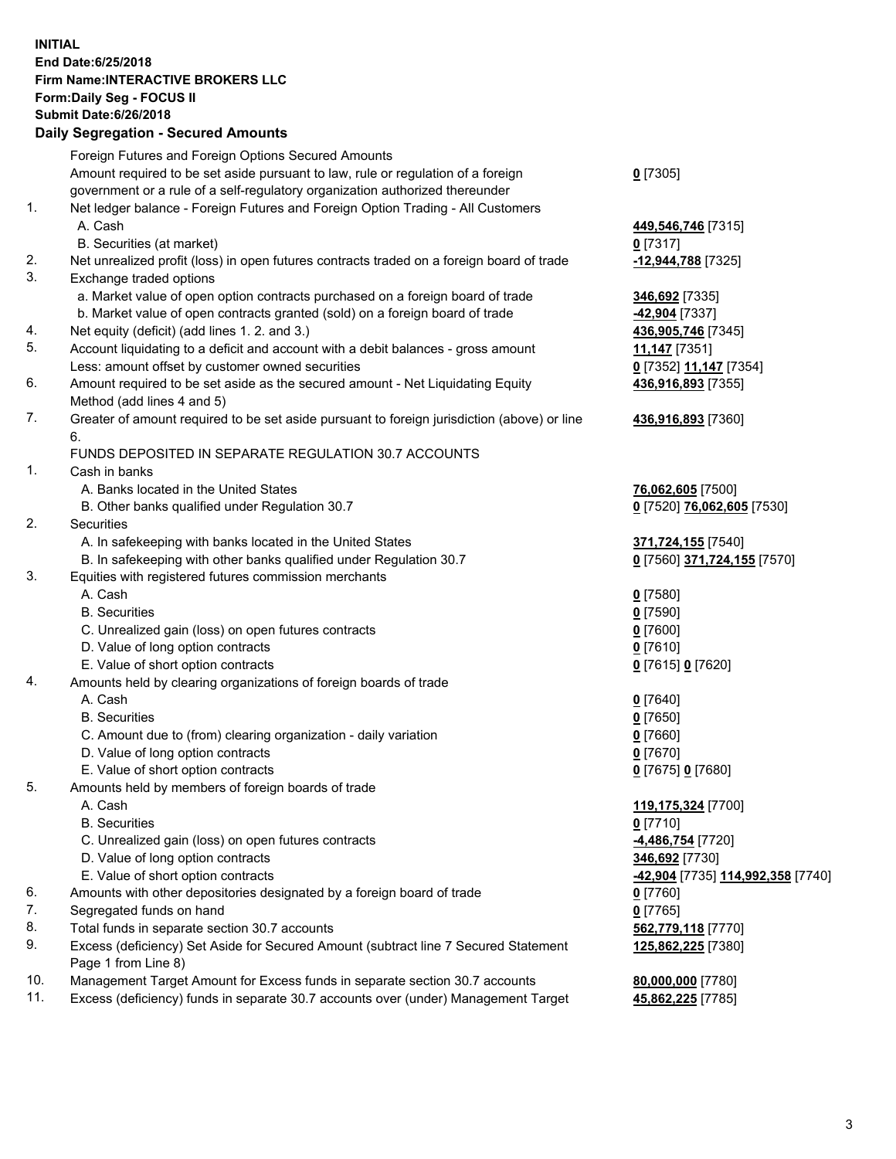## **INITIAL End Date:6/25/2018 Firm Name:INTERACTIVE BROKERS LLC Form:Daily Seg - FOCUS II Submit Date:6/26/2018 Daily Segregation - Secured Amounts**

|     | Dany Ocgregation - oceaned Anioante                                                               |                                                             |
|-----|---------------------------------------------------------------------------------------------------|-------------------------------------------------------------|
|     | Foreign Futures and Foreign Options Secured Amounts                                               |                                                             |
|     | Amount required to be set aside pursuant to law, rule or regulation of a foreign                  | $0$ [7305]                                                  |
|     | government or a rule of a self-regulatory organization authorized thereunder                      |                                                             |
| 1.  | Net ledger balance - Foreign Futures and Foreign Option Trading - All Customers                   |                                                             |
|     | A. Cash                                                                                           | 449,546,746 [7315]                                          |
|     | B. Securities (at market)                                                                         | $0$ [7317]                                                  |
| 2.  | Net unrealized profit (loss) in open futures contracts traded on a foreign board of trade         | -12,944,788 [7325]                                          |
| 3.  | Exchange traded options                                                                           |                                                             |
|     | a. Market value of open option contracts purchased on a foreign board of trade                    | 346,692 [7335]                                              |
|     | b. Market value of open contracts granted (sold) on a foreign board of trade                      | -42,904 [7337]                                              |
| 4.  | Net equity (deficit) (add lines 1.2. and 3.)                                                      | 436,905,746 [7345]                                          |
| 5.  | Account liquidating to a deficit and account with a debit balances - gross amount                 | 11,147 [7351]                                               |
|     | Less: amount offset by customer owned securities                                                  | 0 [7352] 11,147 [7354]                                      |
| 6.  | Amount required to be set aside as the secured amount - Net Liquidating Equity                    | 436,916,893 [7355]                                          |
|     | Method (add lines 4 and 5)                                                                        |                                                             |
| 7.  | Greater of amount required to be set aside pursuant to foreign jurisdiction (above) or line<br>6. | 436,916,893 [7360]                                          |
|     | FUNDS DEPOSITED IN SEPARATE REGULATION 30.7 ACCOUNTS                                              |                                                             |
| 1.  | Cash in banks                                                                                     |                                                             |
|     | A. Banks located in the United States                                                             | 76,062,605 [7500]                                           |
|     | B. Other banks qualified under Regulation 30.7                                                    | 0 [7520] 76,062,605 [7530]                                  |
| 2.  | Securities                                                                                        |                                                             |
|     | A. In safekeeping with banks located in the United States                                         | 371,724,155 [7540]                                          |
|     | B. In safekeeping with other banks qualified under Regulation 30.7                                | 0 [7560] 371,724,155 [7570]                                 |
| 3.  | Equities with registered futures commission merchants                                             |                                                             |
|     | A. Cash                                                                                           | $0$ [7580]                                                  |
|     | <b>B.</b> Securities                                                                              | $0$ [7590]                                                  |
|     | C. Unrealized gain (loss) on open futures contracts                                               | $0$ [7600]                                                  |
|     | D. Value of long option contracts                                                                 | $0$ [7610]                                                  |
|     | E. Value of short option contracts                                                                | 0 [7615] 0 [7620]                                           |
| 4.  | Amounts held by clearing organizations of foreign boards of trade                                 |                                                             |
|     | A. Cash                                                                                           | $0$ [7640]                                                  |
|     | <b>B.</b> Securities                                                                              | $0$ [7650]                                                  |
|     | C. Amount due to (from) clearing organization - daily variation                                   | $0$ [7660]                                                  |
|     | D. Value of long option contracts                                                                 | $0$ [7670]                                                  |
|     | E. Value of short option contracts                                                                | 0 [7675] 0 [7680]                                           |
| 5.  | Amounts held by members of foreign boards of trade                                                |                                                             |
|     | A. Cash                                                                                           | 119,175,324 [7700]                                          |
|     | <b>B.</b> Securities                                                                              | $0$ [7710]                                                  |
|     | C. Unrealized gain (loss) on open futures contracts                                               | 4,486,754 [7720]                                            |
|     | D. Value of long option contracts                                                                 | 346,692 [7730]                                              |
|     | E. Value of short option contracts                                                                | <mark>-42,904</mark> [7735] <mark>114,992,358</mark> [7740] |
| 6.  | Amounts with other depositories designated by a foreign board of trade                            | $0$ [7760]                                                  |
| 7.  | Segregated funds on hand                                                                          | $0$ [7765]                                                  |
| 8.  | Total funds in separate section 30.7 accounts                                                     | 562,779,118 [7770]                                          |
| 9.  | Excess (deficiency) Set Aside for Secured Amount (subtract line 7 Secured Statement               | 125,862,225 [7380]                                          |
|     | Page 1 from Line 8)                                                                               |                                                             |
| 10. | Management Target Amount for Excess funds in separate section 30.7 accounts                       | 80,000,000 [7780]                                           |
| 11. | Excess (deficiency) funds in separate 30.7 accounts over (under) Management Target                | 45,862,225 [7785]                                           |
|     |                                                                                                   |                                                             |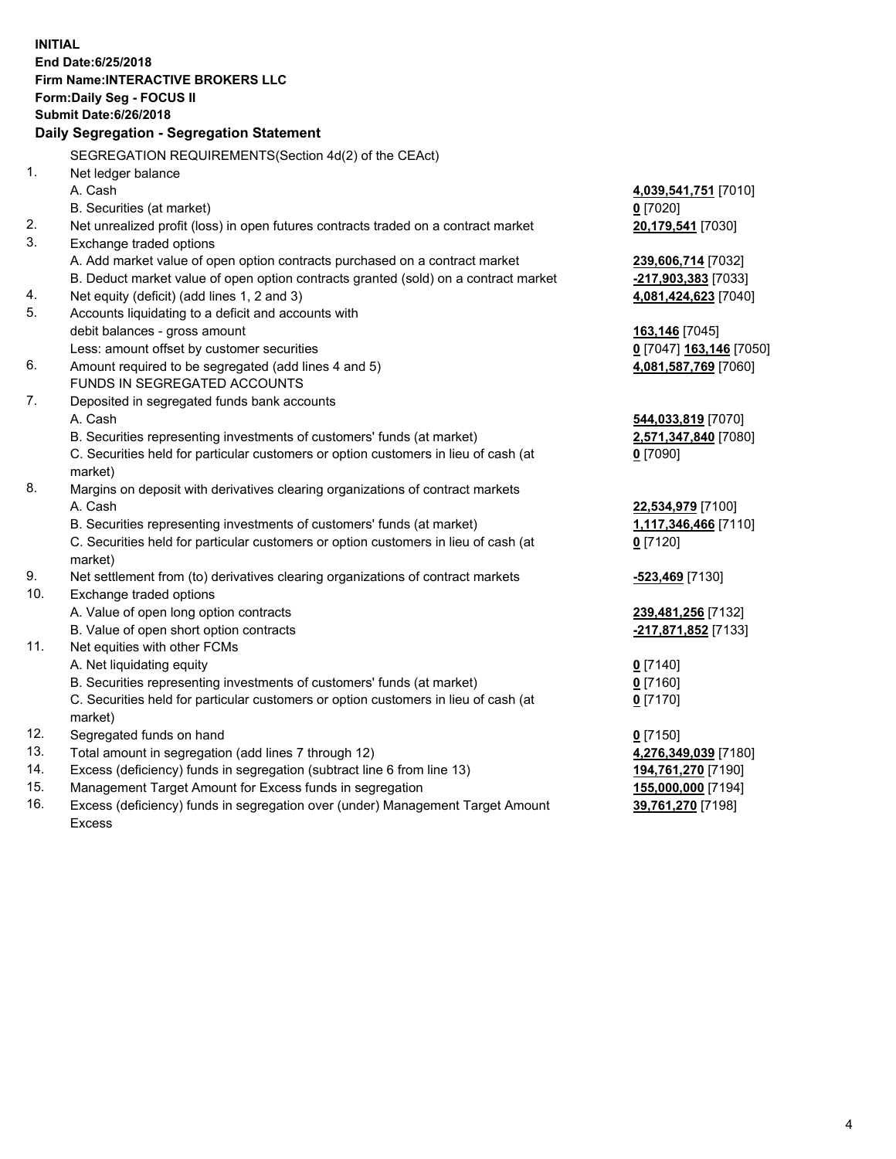**INITIAL End Date:6/25/2018 Firm Name:INTERACTIVE BROKERS LLC Form:Daily Seg - FOCUS II Submit Date:6/26/2018 Daily Segregation - Segregation Statement** SEGREGATION REQUIREMENTS(Section 4d(2) of the CEAct) 1. Net ledger balance A. Cash **4,039,541,751** [7010] B. Securities (at market) **0** [7020] 2. Net unrealized profit (loss) in open futures contracts traded on a contract market **20,179,541** [7030] 3. Exchange traded options A. Add market value of open option contracts purchased on a contract market **239,606,714** [7032] B. Deduct market value of open option contracts granted (sold) on a contract market **-217,903,383** [7033] 4. Net equity (deficit) (add lines 1, 2 and 3) **4,081,424,623** [7040] 5. Accounts liquidating to a deficit and accounts with debit balances - gross amount **163,146** [7045] Less: amount offset by customer securities **0** [7047] **163,146** [7050] 6. Amount required to be segregated (add lines 4 and 5) **4,081,587,769** [7060] FUNDS IN SEGREGATED ACCOUNTS 7. Deposited in segregated funds bank accounts A. Cash **544,033,819** [7070] B. Securities representing investments of customers' funds (at market) **2,571,347,840** [7080] C. Securities held for particular customers or option customers in lieu of cash (at market) **0** [7090] 8. Margins on deposit with derivatives clearing organizations of contract markets A. Cash **22,534,979** [7100] B. Securities representing investments of customers' funds (at market) **1,117,346,466** [7110] C. Securities held for particular customers or option customers in lieu of cash (at market) **0** [7120] 9. Net settlement from (to) derivatives clearing organizations of contract markets **-523,469** [7130] 10. Exchange traded options A. Value of open long option contracts **239,481,256** [7132] B. Value of open short option contracts **-217,871,852** [7133] 11. Net equities with other FCMs A. Net liquidating equity **0** [7140] B. Securities representing investments of customers' funds (at market) **0** [7160] C. Securities held for particular customers or option customers in lieu of cash (at market) **0** [7170] 12. Segregated funds on hand **0** [7150] 13. Total amount in segregation (add lines 7 through 12) **4,276,349,039** [7180] 14. Excess (deficiency) funds in segregation (subtract line 6 from line 13) **194,761,270** [7190] 15. Management Target Amount for Excess funds in segregation **155,000,000** [7194] **39,761,270** [7198]

16. Excess (deficiency) funds in segregation over (under) Management Target Amount Excess